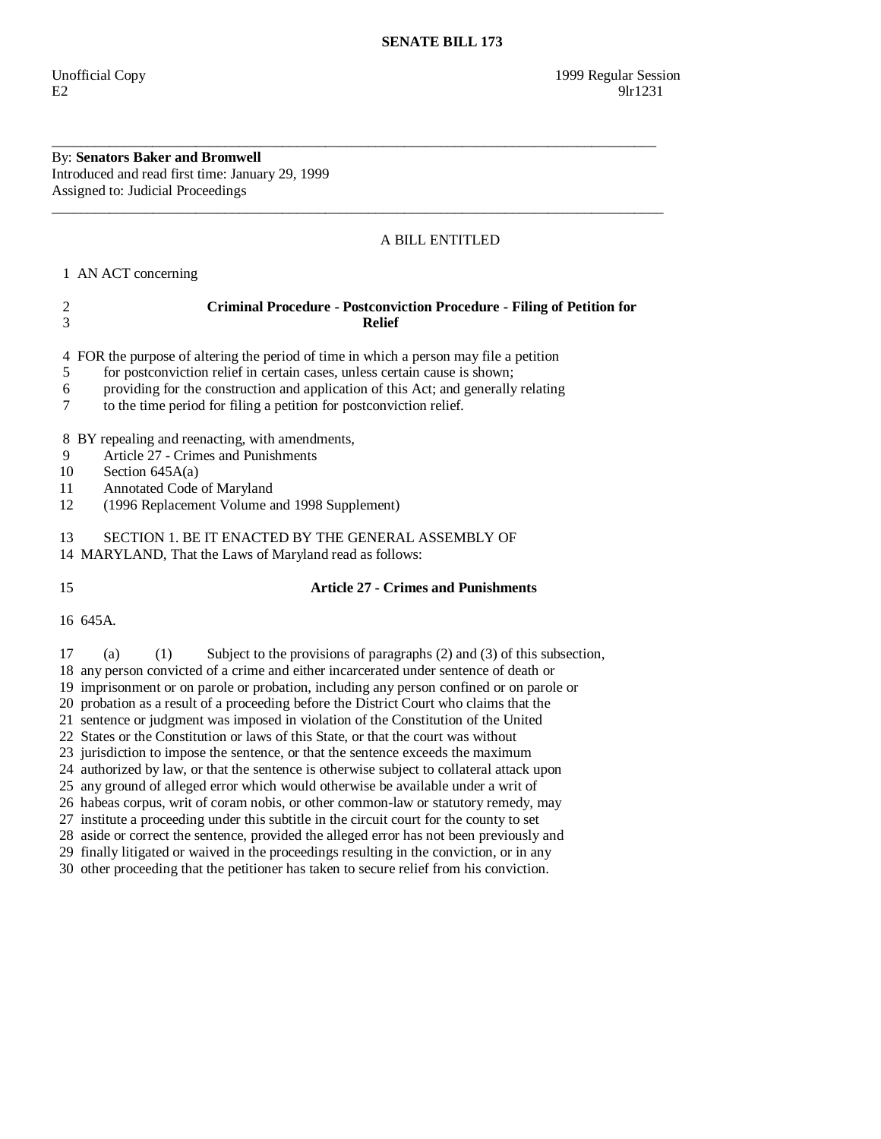By: **Senators Baker and Bromwell**  Introduced and read first time: January 29, 1999 Assigned to: Judicial Proceedings

## A BILL ENTITLED

1 AN ACT concerning

# 2 **Criminal Procedure - Postconviction Procedure - Filing of Petition for**  3 **Relief**

\_\_\_\_\_\_\_\_\_\_\_\_\_\_\_\_\_\_\_\_\_\_\_\_\_\_\_\_\_\_\_\_\_\_\_\_\_\_\_\_\_\_\_\_\_\_\_\_\_\_\_\_\_\_\_\_\_\_\_\_\_\_\_\_\_\_\_\_\_\_\_\_\_\_\_\_\_\_\_\_\_\_\_\_

\_\_\_\_\_\_\_\_\_\_\_\_\_\_\_\_\_\_\_\_\_\_\_\_\_\_\_\_\_\_\_\_\_\_\_\_\_\_\_\_\_\_\_\_\_\_\_\_\_\_\_\_\_\_\_\_\_\_\_\_\_\_\_\_\_\_\_\_\_\_\_\_\_\_\_\_\_\_\_\_\_\_\_\_\_

4 FOR the purpose of altering the period of time in which a person may file a petition

- 5 for postconviction relief in certain cases, unless certain cause is shown;
- 6 providing for the construction and application of this Act; and generally relating
- 7 to the time period for filing a petition for postconviction relief.

8 BY repealing and reenacting, with amendments,

- 9 Article 27 Crimes and Punishments
- 10 Section 645A(a)
- 11 Annotated Code of Maryland
- 12 (1996 Replacement Volume and 1998 Supplement)

13 SECTION 1. BE IT ENACTED BY THE GENERAL ASSEMBLY OF

14 MARYLAND, That the Laws of Maryland read as follows:

## 15 **Article 27 - Crimes and Punishments**

16 645A.

 17 (a) (1) Subject to the provisions of paragraphs (2) and (3) of this subsection, 18 any person convicted of a crime and either incarcerated under sentence of death or 19 imprisonment or on parole or probation, including any person confined or on parole or 20 probation as a result of a proceeding before the District Court who claims that the 21 sentence or judgment was imposed in violation of the Constitution of the United 22 States or the Constitution or laws of this State, or that the court was without 23 jurisdiction to impose the sentence, or that the sentence exceeds the maximum 24 authorized by law, or that the sentence is otherwise subject to collateral attack upon 25 any ground of alleged error which would otherwise be available under a writ of 26 habeas corpus, writ of coram nobis, or other common-law or statutory remedy, may 27 institute a proceeding under this subtitle in the circuit court for the county to set 28 aside or correct the sentence, provided the alleged error has not been previously and 29 finally litigated or waived in the proceedings resulting in the conviction, or in any

30 other proceeding that the petitioner has taken to secure relief from his conviction.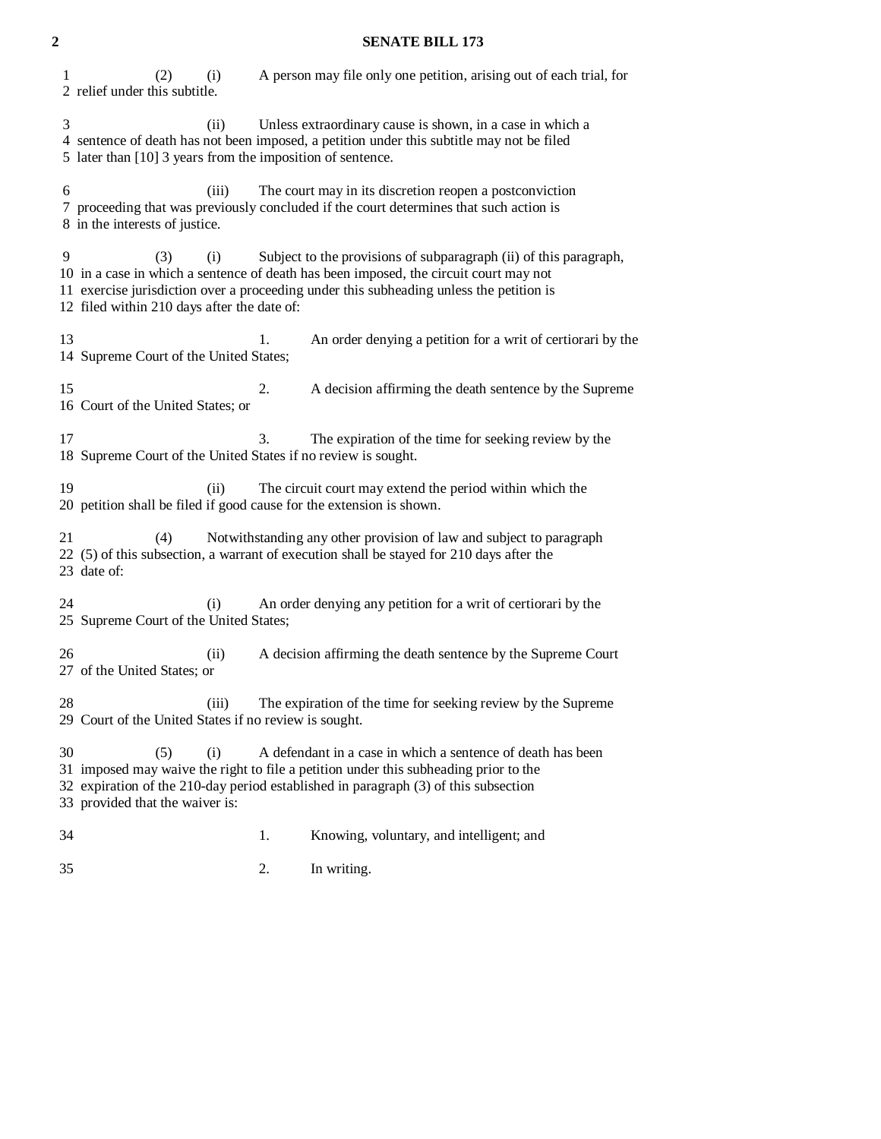### **2 SENATE BILL 173**

 1 (2) (i) A person may file only one petition, arising out of each trial, for 2 relief under this subtitle. 3 (ii) Unless extraordinary cause is shown, in a case in which a 4 sentence of death has not been imposed, a petition under this subtitle may not be filed 5 later than [10] 3 years from the imposition of sentence. 6 (iii) The court may in its discretion reopen a postconviction 7 proceeding that was previously concluded if the court determines that such action is 8 in the interests of justice. 9 (3) (i) Subject to the provisions of subparagraph (ii) of this paragraph, 10 in a case in which a sentence of death has been imposed, the circuit court may not 11 exercise jurisdiction over a proceeding under this subheading unless the petition is 12 filed within 210 days after the date of: 13 1. An order denying a petition for a writ of certiorari by the 14 Supreme Court of the United States; 15 2. A decision affirming the death sentence by the Supreme 16 Court of the United States; or 17 3. The expiration of the time for seeking review by the 18 Supreme Court of the United States if no review is sought. 19 (ii) The circuit court may extend the period within which the 20 petition shall be filed if good cause for the extension is shown. 21 (4) Notwithstanding any other provision of law and subject to paragraph 22 (5) of this subsection, a warrant of execution shall be stayed for 210 days after the 23 date of: 24 (i) An order denying any petition for a writ of certiorari by the 25 Supreme Court of the United States; 26 (ii) A decision affirming the death sentence by the Supreme Court 27 of the United States; or 28 (iii) The expiration of the time for seeking review by the Supreme 29 Court of the United States if no review is sought. 30 (5) (i) A defendant in a case in which a sentence of death has been 31 imposed may waive the right to file a petition under this subheading prior to the 32 expiration of the 210-day period established in paragraph (3) of this subsection 33 provided that the waiver is: 34 1. Knowing, voluntary, and intelligent; and

35 2. In writing.